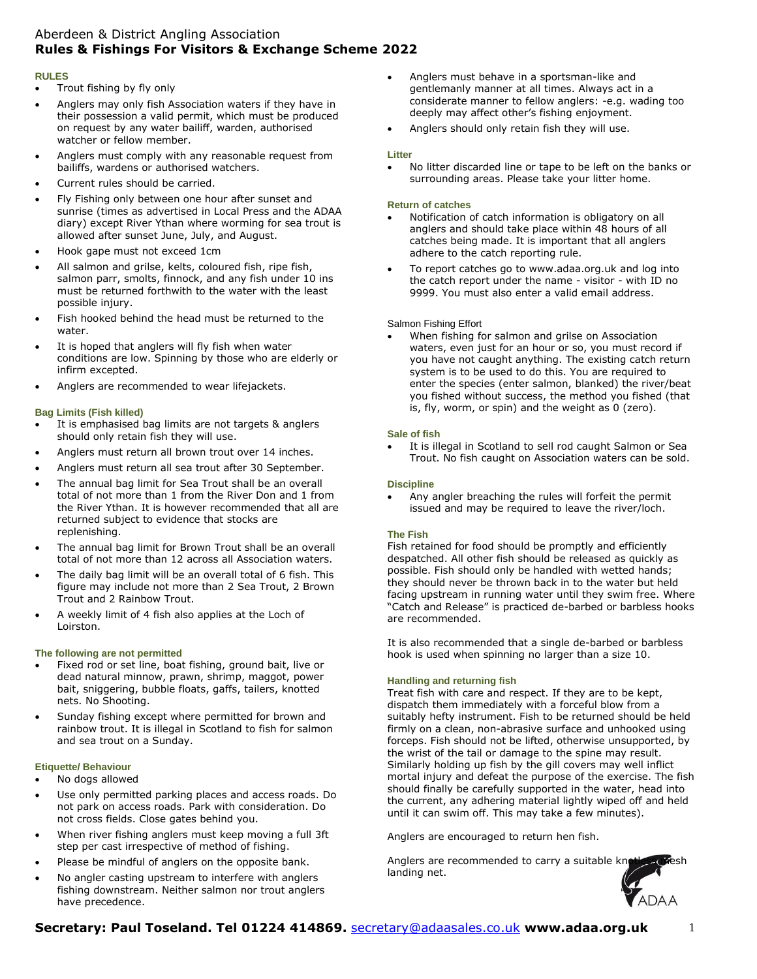# Aberdeen & District Angling Association **Rules & Fishings For Visitors & Exchange Scheme 2022**

#### **RULES**

- Trout fishing by fly only
- Anglers may only fish Association waters if they have in their possession a valid permit, which must be produced on request by any water bailiff, warden, authorised watcher or fellow member.
- Anglers must comply with any reasonable request from bailiffs, wardens or authorised watchers.
- Current rules should be carried.
- Fly Fishing only between one hour after sunset and sunrise (times as advertised in Local Press and the ADAA diary) except River Ythan where worming for sea trout is allowed after sunset June, July, and August.
- Hook gape must not exceed 1cm
- All salmon and grilse, kelts, coloured fish, ripe fish, salmon parr, smolts, finnock, and any fish under 10 ins must be returned forthwith to the water with the least possible injury.
- Fish hooked behind the head must be returned to the water.
- It is hoped that anglers will fly fish when water conditions are low. Spinning by those who are elderly or infirm excepted.
- Anglers are recommended to wear lifejackets.

### **Bag Limits (Fish killed)**

- It is emphasised bag limits are not targets & anglers should only retain fish they will use.
- Anglers must return all brown trout over 14 inches.
- Anglers must return all sea trout after 30 September.
- The annual bag limit for Sea Trout shall be an overall total of not more than 1 from the River Don and 1 from the River Ythan. It is however recommended that all are returned subject to evidence that stocks are replenishing.
- The annual bag limit for Brown Trout shall be an overall total of not more than 12 across all Association waters.
- The daily bag limit will be an overall total of 6 fish. This figure may include not more than 2 Sea Trout, 2 Brown Trout and 2 Rainbow Trout.
- A weekly limit of 4 fish also applies at the Loch of Loirston.

### **The following are not permitted**

- Fixed rod or set line, boat fishing, ground bait, live or dead natural minnow, prawn, shrimp, maggot, power bait, sniggering, bubble floats, gaffs, tailers, knotted nets. No Shooting.
- Sunday fishing except where permitted for brown and rainbow trout. It is illegal in Scotland to fish for salmon and sea trout on a Sunday.

### **Etiquette/ Behaviour**

- No dogs allowed
- Use only permitted parking places and access roads. Do not park on access roads. Park with consideration. Do not cross fields. Close gates behind you.
- When river fishing anglers must keep moving a full 3ft step per cast irrespective of method of fishing.
- Please be mindful of anglers on the opposite bank.
- No angler casting upstream to interfere with anglers fishing downstream. Neither salmon nor trout anglers have precedence.
- Anglers must behave in a sportsman-like and gentlemanly manner at all times. Always act in a considerate manner to fellow anglers: -e.g. wading too deeply may affect other's fishing enjoyment.
- Anglers should only retain fish they will use.

#### **Litter**

• No litter discarded line or tape to be left on the banks or surrounding areas. Please take your litter home.

#### **Return of catches**

- Notification of catch information is obligatory on all anglers and should take place within 48 hours of all catches being made. It is important that all anglers adhere to the catch reporting rule.
- To report catches go to [www.adaa.org.uk](http://www.adaa.org.uk/) and log into the catch report under the name - visitor - with ID no 9999. You must also enter a valid email address.

#### Salmon Fishing Effort

• When fishing for salmon and grilse on Association waters, even just for an hour or so, you must record if you have not caught anything. The existing catch return system is to be used to do this. You are required to enter the species (enter salmon, blanked) the river/beat you fished without success, the method you fished (that is, fly, worm, or spin) and the weight as 0 (zero).

#### **Sale of fish**

It is illegal in Scotland to sell rod caught Salmon or Sea Trout. No fish caught on Association waters can be sold.

#### **Discipline**

• Any angler breaching the rules will forfeit the permit issued and may be required to leave the river/loch.

#### **The Fish**

Fish retained for food should be promptly and efficiently despatched. All other fish should be released as quickly as possible. Fish should only be handled with wetted hands; they should never be thrown back in to the water but held facing upstream in running water until they swim free. Where "Catch and Release" is practiced de-barbed or barbless hooks are recommended.

It is also recommended that a single de-barbed or barbless hook is used when spinning no larger than a size 10.

### **Handling and returning fish**

Treat fish with care and respect. If they are to be kept, dispatch them immediately with a forceful blow from a suitably hefty instrument. Fish to be returned should be held firmly on a clean, non-abrasive surface and unhooked using forceps. Fish should not be lifted, otherwise unsupported, by the wrist of the tail or damage to the spine may result. Similarly holding up fish by the gill covers may well inflict mortal injury and defeat the purpose of the exercise. The fish should finally be carefully supported in the water, head into the current, any adhering material lightly wiped off and held until it can swim off. This may take a few minutes).

Anglers are encouraged to return hen fish.

Anglers are recommended to carry a suitable kn landing net.